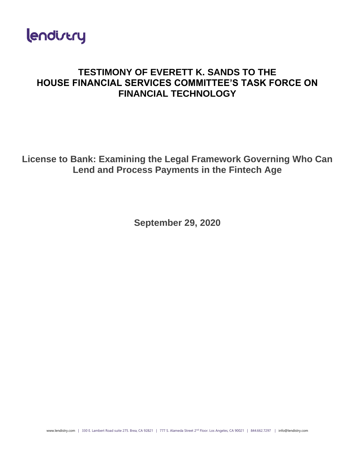

### **TESTIMONY OF EVERETT K. SANDS TO THE HOUSE FINANCIAL SERVICES COMMITTEE'S TASK FORCE ON FINANCIAL TECHNOLOGY**

**License to Bank: Examining the Legal Framework Governing Who Can Lend and Process Payments in the Fintech Age**

**September 29, 2020**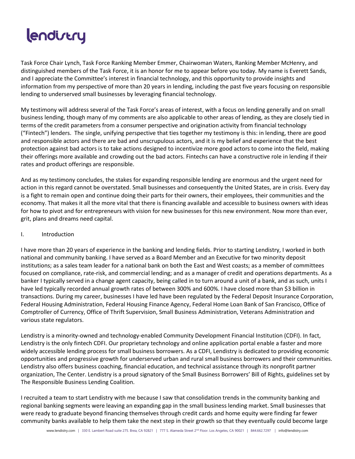## lendirery

Task Force Chair Lynch, Task Force Ranking Member Emmer, Chairwoman Waters, Ranking Member McHenry, and distinguished members of the Task Force, it is an honor for me to appear before you today. My name is Everett Sands, and I appreciate the Committee's interest in financial technology, and this opportunity to provide insights and information from my perspective of more than 20 years in lending, including the past five years focusing on responsible lending to underserved small businesses by leveraging financial technology.

My testimony will address several of the Task Force's areas of interest, with a focus on lending generally and on small business lending, though many of my comments are also applicable to other areas of lending, as they are closely tied in terms of the credit parameters from a consumer perspective and origination activity from financial technology ("Fintech") lenders. The single, unifying perspective that ties together my testimony is this: in lending, there are good and responsible actors and there are bad and unscrupulous actors, and it is my belief and experience that the best protection against bad actors is to take actions designed to incentivize more good actors to come into the field, making their offerings more available and crowding out the bad actors. Fintechs can have a constructive role in lending if their rates and product offerings are responsible.

And as my testimony concludes, the stakes for expanding responsible lending are enormous and the urgent need for action in this regard cannot be overstated. Small businesses and consequently the United States, are in crisis. Every day is a fight to remain open and continue doing their parts for their owners, their employees, their communities and the economy. That makes it all the more vital that there is financing available and accessible to business owners with ideas for how to pivot and for entrepreneurs with vision for new businesses for this new environment. Now more than ever, grit, plans and dreams need capital.

#### I. Introduction

I have more than 20 years of experience in the banking and lending fields. Prior to starting Lendistry, I worked in both national and community banking. I have served as a Board Member and an Executive for two minority deposit institutions; as a sales team leader for a national bank on both the East and West coasts; as a member of committees focused on compliance, rate-risk, and commercial lending; and as a manager of credit and operations departments. As a banker I typically served in a change agent capacity, being called in to turn around a unit of a bank, and as such, units I have led typically recorded annual growth rates of between 300% and 600%. I have closed more than \$3 billion in transactions. During my career, businesses I have led have been regulated by the Federal Deposit Insurance Corporation, Federal Housing Administration, Federal Housing Finance Agency, Federal Home Loan Bank of San Francisco, Office of Comptroller of Currency, Office of Thrift Supervision, Small Business Administration, Veterans Administration and various state regulators.

Lendistry is a minority-owned and technology-enabled Community Development Financial Institution (CDFI). In fact, Lendistry is the only fintech CDFI. Our proprietary technology and online application portal enable a faster and more widely accessible lending process for small business borrowers. As a CDFI, Lendistry is dedicated to providing economic opportunities and progressive growth for underserved urban and rural small business borrowers and their communities. Lendistry also offers business coaching, financial education, and technical assistance through its nonprofit partner organization, The Center. Lendistry is a proud signatory of the Small Business Borrowers' Bill of Rights, guidelines set by The Responsible Business Lending Coalition.

I recruited a team to start Lendistry with me because I saw that consolidation trends in the community banking and regional banking segments were leaving an expanding gap in the small business lending market. Small businesses that were ready to graduate beyond financing themselves through credit cards and home equity were finding far fewer community banks available to help them take the next step in their growth so that they eventually could become large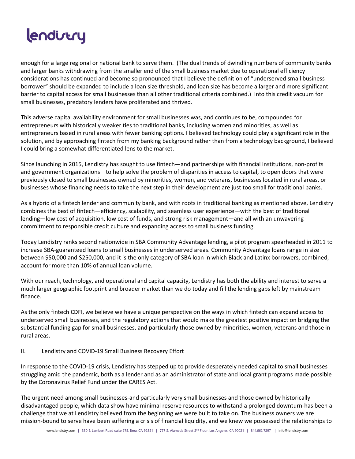

enough for a large regional or national bank to serve them. (The dual trends of dwindling numbers of community banks and larger banks withdrawing from the smaller end of the small business market due to operational efficiency considerations has continued and become so pronounced that I believe the definition of "underserved small business borrower" should be expanded to include a loan size threshold, and loan size has become a larger and more significant barrier to capital access for small businesses than all other traditional criteria combined.) Into this credit vacuum for small businesses, predatory lenders have proliferated and thrived.

This adverse capital availability environment for small businesses was, and continues to be, compounded for entrepreneurs with historically weaker ties to traditional banks, including women and minorities, as well as entrepreneurs based in rural areas with fewer banking options. I believed technology could play a significant role in the solution, and by approaching fintech from my banking background rather than from a technology background, I believed I could bring a somewhat differentiated lens to the market.

Since launching in 2015, Lendistry has sought to use fintech—and partnerships with financial institutions, non-profits and government organizations—to help solve the problem of disparities in access to capital, to open doors that were previously closed to small businesses owned by minorities, women, and veterans, businesses located in rural areas, or businesses whose financing needs to take the next step in their development are just too small for traditional banks.

As a hybrid of a fintech lender and community bank, and with roots in traditional banking as mentioned above, Lendistry combines the best of fintech—efficiency, scalability, and seamless user experience—with the best of traditional lending—low cost of acquisition, low cost of funds, and strong risk management—and all with an unwavering commitment to responsible credit culture and expanding access to small business funding.

Today Lendistry ranks second nationwide in SBA Community Advantage lending, a pilot program spearheaded in 2011 to increase SBA-guaranteed loans to small businesses in underserved areas. Community Advantage loans range in size between \$50,000 and \$250,000, and it is the only category of SBA loan in which Black and Latinx borrowers, combined, account for more than 10% of annual loan volume.

With our reach, technology, and operational and capital capacity, Lendistry has both the ability and interest to serve a much larger geographic footprint and broader market than we do today and fill the lending gaps left by mainstream finance.

As the only fintech CDFI, we believe we have a unique perspective on the ways in which fintech can expand access to underserved small businesses, and the regulatory actions that would make the greatest positive impact on bridging the substantial funding gap for small businesses, and particularly those owned by minorities, women, veterans and those in rural areas.

#### II. Lendistry and COVID-19 Small Business Recovery Effort

In response to the COVID-19 crisis, Lendistry has stepped up to provide desperately needed capital to small businesses struggling amid the pandemic, both as a lender and as an administrator of state and local grant programs made possible by the Coronavirus Relief Fund under the CARES Act.

The urgent need among small businesses-and particularly very small businesses and those owned by historically disadvantaged people, which data show have minimal reserve resources to withstand a prolonged downturn-has been a challenge that we at Lendistry believed from the beginning we were built to take on. The business owners we are mission-bound to serve have been suffering a crisis of financial liquidity, and we knew we possessed the relationships to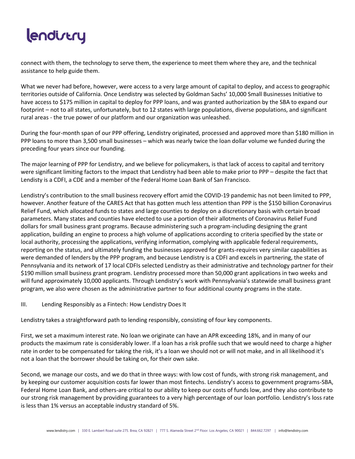## lendirtry

connect with them, the technology to serve them, the experience to meet them where they are, and the technical assistance to help guide them.

What we never had before, however, were access to a very large amount of capital to deploy, and access to geographic territories outside of California. Once Lendistry was selected by Goldman Sachs' 10,000 Small Businesses Initiative to have access to \$175 million in capital to deploy for PPP loans, and was granted authorization by the SBA to expand our footprint – not to all states, unfortunately, but to 12 states with large populations, diverse populations, and significant rural areas - the true power of our platform and our organization was unleashed.

During the four-month span of our PPP offering, Lendistry originated, processed and approved more than \$180 million in PPP loans to more than 3,500 small businesses – which was nearly twice the loan dollar volume we funded during the preceding four years since our founding.

The major learning of PPP for Lendistry, and we believe for policymakers, is that lack of access to capital and territory were significant limiting factors to the impact that Lendistry had been able to make prior to PPP – despite the fact that Lendisty is a CDFI, a CDE and a member of the Federal Home Loan Bank of San Francisco.

Lendistry's contribution to the small business recovery effort amid the COVID-19 pandemic has not been limited to PPP, however. Another feature of the CARES Act that has gotten much less attention than PPP is the \$150 billion Coronavirus Relief Fund, which allocated funds to states and large counties to deploy on a discretionary basis with certain broad parameters. Many states and counties have elected to use a portion of their allotments of Coronavirus Relief Fund dollars for small business grant programs. Because administering such a program-including designing the grant application, building an engine to process a high volume of applications according to criteria specified by the state or local authority, processing the applications, verifying information, complying with applicable federal requirements, reporting on the status, and ultimately funding the businesses approved for grants-requires very similar capabilities as were demanded of lenders by the PPP program, and because Lendistry is a CDFI and excels in partnering, the state of Pennsylvania and its network of 17 local CDFIs selected Lendistry as their administrative and technology partner for their \$190 million small business grant program. Lendistry processed more than 50,000 grant applications in two weeks and will fund approximately 10,000 applicants. Through Lendistry's work with Pennsylvania's statewide small business grant program, we also were chosen as the administrative partner to four additional county programs in the state.

#### III. Lending Responsibly as a Fintech: How Lendistry Does It

Lendistry takes a straightforward path to lending responsibly, consisting of four key components.

First, we set a maximum interest rate. No loan we originate can have an APR exceeding 18%, and in many of our products the maximum rate is considerably lower. If a loan has a risk profile such that we would need to charge a higher rate in order to be compensated for taking the risk, it's a loan we should not or will not make, and in all likelihood it's not a loan that the borrower should be taking on, for their own sake.

Second, we manage our costs, and we do that in three ways: with low cost of funds, with strong risk management, and by keeping our customer acquisition costs far lower than most fintechs. Lendistry's access to government programs-SBA, Federal Home Loan Bank, and others-are critical to our ability to keep our costs of funds low, and they also contribute to our strong risk management by providing guarantees to a very high percentage of our loan portfolio. Lendistry's loss rate is less than 1% versus an acceptable industry standard of 5%.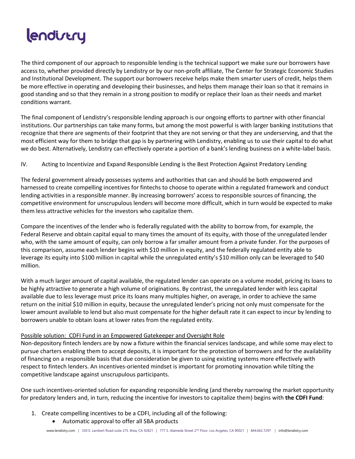

The third component of our approach to responsible lending is the technical support we make sure our borrowers have access to, whether provided directly by Lendistry or by our non-profit affiliate, The Center for Strategic Economic Studies and Institutional Development. The support our borrowers receive helps make them smarter users of credit, helps them be more effective in operating and developing their businesses, and helps them manage their loan so that it remains in good standing and so that they remain in a strong position to modify or replace their loan as their needs and market conditions warrant.

The final component of Lendistry's responsible lending approach is our ongoing efforts to partner with other financial institutions. Our partnerships can take many forms, but among the most powerful is with larger banking institutions that recognize that there are segments of their footprint that they are not serving or that they are underserving, and that the most efficient way for them to bridge that gap is by partnering with Lendistry, enabling us to use their capital to do what we do best. Alternatively, Lendistry can effectively operate a portion of a bank's lending business on a white-label basis.

#### IV. Acting to Incentivize and Expand Responsible Lending is the Best Protection Against Predatory Lending

The federal government already possesses systems and authorities that can and should be both empowered and harnessed to create compelling incentives for fintechs to choose to operate within a regulated framework and conduct lending activities in a responsible manner. By increasing borrowers' access to responsible sources of financing, the competitive environment for unscrupulous lenders will become more difficult, which in turn would be expected to make them less attractive vehicles for the investors who capitalize them.

Compare the incentives of the lender who is federally regulated with the ability to borrow from, for example, the Federal Reserve and obtain capital equal to many times the amount of its equity, with those of the unregulated lender who, with the same amount of equity, can only borrow a far smaller amount from a private funder. For the purposes of this comparison, assume each lender begins with \$10 million in equity, and the federally regulated entity able to leverage its equity into \$100 million in capital while the unregulated entity's \$10 million only can be leveraged to \$40 million.

With a much larger amount of capital available, the regulated lender can operate on a volume model, pricing its loans to be highly attractive to generate a high volume of originations. By contrast, the unregulated lender with less capital available due to less leverage must price its loans many multiples higher, on average, in order to achieve the same return on the initial \$10 million in equity, because the unregulated lender's pricing not only must compensate for the lower amount available to lend but also must compensate for the higher default rate it can expect to incur by lending to borrowers unable to obtain loans at lower rates from the regulated entity.

#### Possible solution: CDFI Fund in an Empowered Gatekeeper and Oversight Role

Non-depository fintech lenders are by now a fixture within the financial services landscape, and while some may elect to pursue charters enabling them to accept deposits, it is important for the protection of borrowers and for the availability of financing on a responsible basis that due consideration be given to using existing systems more effectively with respect to fintech lenders. An incentives-oriented mindset is important for promoting innovation while tilting the competitive landscape against unscrupulous participants.

One such incentives-oriented solution for expanding responsible lending (and thereby narrowing the market opportunity for predatory lenders and, in turn, reducing the incentive for investors to capitalize them) begins with **the CDFI Fund**:

- 1. Create compelling incentives to be a CDFI, including all of the following:
	- Automatic approval to offer all SBA products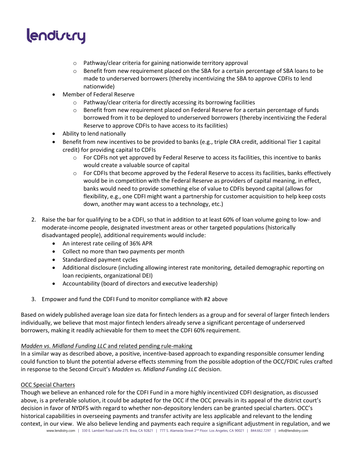

- o Pathway/clear criteria for gaining nationwide territory approval
- $\circ$  Benefit from new requirement placed on the SBA for a certain percentage of SBA loans to be made to underserved borrowers (thereby incentivizing the SBA to approve CDFIs to lend nationwide)
- Member of Federal Reserve
	- o Pathway/clear criteria for directly accessing its borrowing facilities
	- $\circ$  Benefit from new requirement placed on Federal Reserve for a certain percentage of funds borrowed from it to be deployed to underserved borrowers (thereby incentivizing the Federal Reserve to approve CDFIs to have access to its facilities)
- Ability to lend nationally
- Benefit from new incentives to be provided to banks (e.g., triple CRA credit, additional Tier 1 capital credit) for providing capital to CDFIs
	- $\circ$  For CDFIs not yet approved by Federal Reserve to access its facilities, this incentive to banks would create a valuable source of capital
	- $\circ$  For CDFIs that become approved by the Federal Reserve to access its facilities, banks effectively would be in competition with the Federal Reserve as providers of capital meaning, in effect, banks would need to provide something else of value to CDFIs beyond capital (allows for flexibility, e.g., one CDFI might want a partnership for customer acquisition to help keep costs down, another may want access to a technology, etc.)
- 2. Raise the bar for qualifying to be a CDFI, so that in addition to at least 60% of loan volume going to low- and moderate-income people, designated investment areas or other targeted populations (historically disadvantaged people), additional requirements would include:
	- An interest rate ceiling of 36% APR
	- Collect no more than two payments per month
	- Standardized payment cycles
	- Additional disclosure (including allowing interest rate monitoring, detailed demographic reporting on loan recipients, organizational DEI)
	- Accountability (board of directors and executive leadership)
- 3. Empower and fund the CDFI Fund to monitor compliance with #2 above

Based on widely published average loan size data for fintech lenders as a group and for several of larger fintech lenders individually, we believe that most major fintech lenders already serve a significant percentage of underserved borrowers, making it readily achievable for them to meet the CDFI 60% requirement.

#### *Madden vs. Midland Funding LLC* and related pending rule-making

In a similar way as described above, a positive, incentive-based approach to expanding responsible consumer lending could function to blunt the potential adverse effects stemming from the possible adoption of the OCC/FDIC rules crafted in response to the Second Circuit's *Madden vs. Midland Funding LLC* decision.

#### OCC Special Charters

Though we believe an enhanced role for the CDFI Fund in a more highly incentivized CDFI designation, as discussed above, is a preferable solution, it could be adapted for the OCC if the OCC prevails in its appeal of the district court's decision in favor of NYDFS with regard to whether non-depository lenders can be granted special charters. OCC's historical capabilities in overseeing payments and transfer activity are less applicable and relevant to the lending context, in our view. We also believe lending and payments each require a significant adjustment in regulation, and we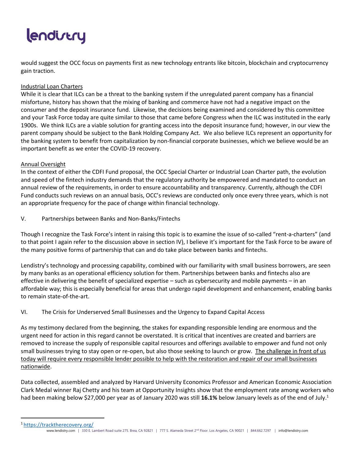# lendirtry

would suggest the OCC focus on payments first as new technology entrants like bitcoin, blockchain and cryptocurrency gain traction.

#### Industrial Loan Charters

While it is clear that ILCs can be a threat to the banking system if the unregulated parent company has a financial misfortune, history has shown that the mixing of banking and commerce have not had a negative impact on the consumer and the deposit insurance fund. Likewise, the decisions being examined and considered by this committee and your Task Force today are quite similar to those that came before Congress when the ILC was instituted in the early 1900s. We think ILCs are a viable solution for granting access into the deposit insurance fund; however, in our view the parent company should be subject to the Bank Holding Company Act. We also believe ILCs represent an opportunity for the banking system to benefit from capitalization by non-financial corporate businesses, which we believe would be an important benefit as we enter the COVID-19 recovery.

#### Annual Oversight

In the context of either the CDFI Fund proposal, the OCC Special Charter or Industrial Loan Charter path, the evolution and speed of the fintech industry demands that the regulatory authority be empowered and mandated to conduct an annual review of the requirements, in order to ensure accountability and transparency. Currently, although the CDFI Fund conducts such reviews on an annual basis, OCC's reviews are conducted only once every three years, which is not an appropriate frequency for the pace of change within financial technology.

V. Partnerships between Banks and Non-Banks/Fintechs

Though I recognize the Task Force's intent in raising this topic is to examine the issue of so-called "rent-a-charters" (and to that point I again refer to the discussion above in section IV), I believe it's important for the Task Force to be aware of the many positive forms of partnership that can and do take place between banks and fintechs.

Lendistry's technology and processing capability, combined with our familiarity with small business borrowers, are seen by many banks as an operational efficiency solution for them. Partnerships between banks and fintechs also are effective in delivering the benefit of specialized expertise – such as cybersecurity and mobile payments – in an affordable way; this is especially beneficial for areas that undergo rapid development and enhancement, enabling banks to remain state-of-the-art.

#### VI. The Crisis for Underserved Small Businesses and the Urgency to Expand Capital Access

As my testimony declared from the beginning, the stakes for expanding responsible lending are enormous and the urgent need for action in this regard cannot be overstated. It is critical that incentives are created and barriers are removed to increase the supply of responsible capital resources and offerings available to empower and fund not only small businesses trying to stay open or re-open, but also those seeking to launch or grow. The challenge in front of us today will require every responsible lender possible to help with the restoration and repair of our small businesses nationwide.

Data collected, assembled and analyzed by Harvard University Economics Professor and American Economic Association Clark Medal winner Raj Chetty and his team at Opportunity Insights show that the employment rate among workers who had been making below \$27,000 per year as of January 2020 was still **16.1%** below January levels as of the end of July.<sup>1</sup>

<sup>1</sup> <https://tracktherecovery.org/>

www.lendistry.com | 330 E. Lambert Road suite 275. Brea, CA 92821 | 777 S. Alameda Street 2<sup>nd</sup> Floor. Los Angeles, CA 90021 | 844.662.7297 | info@lendistry.com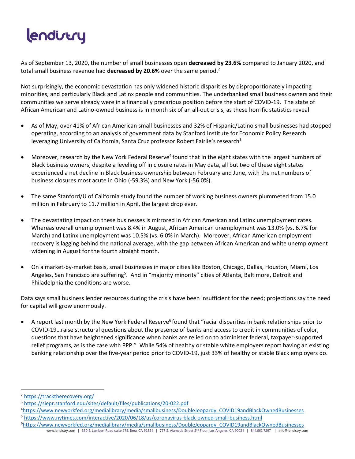# lendirtry

As of September 13, 2020, the number of small businesses open **decreased by 23.6%** compared to January 2020, and total small business revenue had **decreased by 20.6%** over the same period.<sup>2</sup>

Not surprisingly, the economic devastation has only widened historic disparities by disproportionately impacting minorities, and particularly Black and Latinx people and communities. The underbanked small business owners and their communities we serve already were in a financially precarious position before the start of COVID-19. The state of African American and Latino-owned business is in month six of an all-out crisis, as these horrific statistics reveal:

- As of May, over 41% of African American small businesses and 32% of Hispanic/Latino small businesses had stopped operating, according to an analysis of government data by Stanford Institute for Economic Policy Research leveraging University of California, Santa Cruz professor Robert Fairlie's research<sup>3.</sup>
- Moreover, research by the New York Federal Reserve<sup>4</sup> found that in the eight states with the largest numbers of Black business owners, despite a leveling off in closure rates in May data, all but two of these eight states experienced a net decline in Black business ownership between February and June, with the net numbers of business closures most acute in Ohio (-59.3%) and New York (-56.0%).
- The same Stanford/U of California study found the number of working business owners plummeted from 15.0 million in February to 11.7 million in April, the largest drop ever.
- The devastating impact on these businesses is mirrored in African American and Latinx unemployment rates. Whereas overall unemployment was 8.4% in August, African American unemployment was 13.0% (vs. 6.7% for March) and Latinx unemployment was 10.5% (vs. 6.0% in March). Moreover, African American employment recovery is lagging behind the national average, with the gap between African American and white unemployment widening in August for the fourth straight month.
- On a market-by-market basis, small businesses in major cities like Boston, Chicago, Dallas, Houston, Miami, Los Angeles, San Francisco are suffering<sup>5</sup>. And in "majority minority" cities of Atlanta, Baltimore, Detroit and Philadelphia the conditions are worse.

Data says small business lender resources during the crisis have been insufficient for the need; projections say the need for capital will grow enormously.

• A report last month by the New York Federal Reserve<sup>6</sup> found that "racial disparities in bank relationships prior to COVID-19…raise structural questions about the presence of banks and access to credit in communities of color, questions that have heightened significance when banks are relied on to administer federal, taxpayer-supported relief programs, as is the case with PPP." While 54% of healthy or stable white employers report having an existing banking relationship over the five-year period prior to COVID-19, just 33% of healthy or stable Black employers do.

- 4[https://www.newyorkfed.org/medialibrary/media/smallbusiness/DoubleJeopardy\\_COVID19andBlackOwnedBusinesses](https://www.newyorkfed.org/medialibrary/media/smallbusiness/DoubleJeopardy_COVID19andBlackOwnedBusinesses) <sup>5</sup> <https://www.nytimes.com/interactive/2020/06/18/us/coronavirus-black-owned-small-business.html>
- www.lendistry.com | 330 E. Lambert Road suite 275. Brea, CA 92821 | 777 S. Alameda Street 2<sup>nd</sup> Floor. Los Angeles, CA 90021 | 844.662.7297 | info@lendistry.com 6[https://www.newyorkfed.org/medialibrary/media/smallbusiness/DoubleJeopardy\\_COVID19andBlackOwnedBusinesses](https://www.newyorkfed.org/medialibrary/media/smallbusiness/DoubleJeopardy_COVID19andBlackOwnedBusinesses)

<sup>2</sup> <https://tracktherecovery.org/>

<sup>3</sup> <https://siepr.stanford.edu/sites/default/files/publications/20-022.pdf>